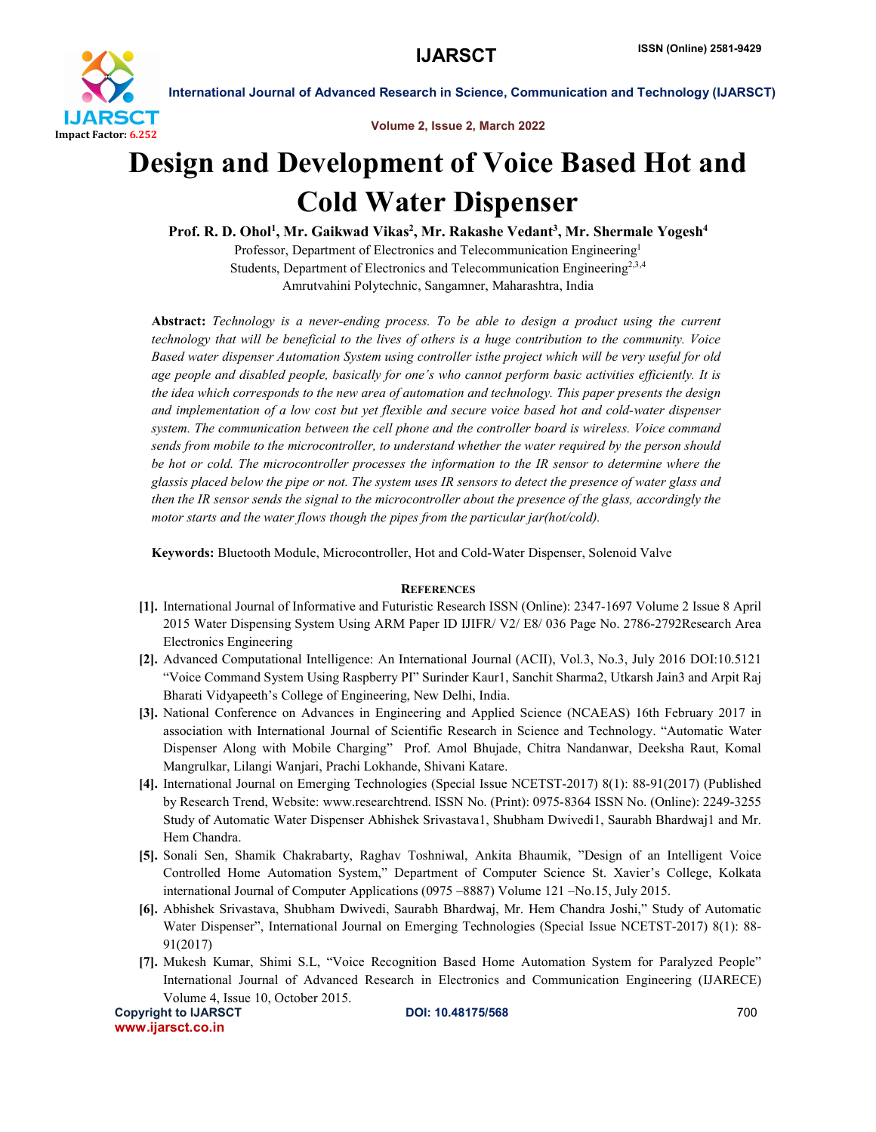

International Journal of Advanced Research in Science, Communication and Technology (IJARSCT)

Volume 2, Issue 2, March 2022

## Design and Development of Voice Based Hot and Cold Water Dispenser

Prof. R. D. Ohol<sup>1</sup>, Mr. Gaikwad Vikas<sup>2</sup>, Mr. Rakashe Vedant<sup>3</sup>, Mr. Shermale Yogesh<sup>4</sup> Professor, Department of Electronics and Telecommunication Engineering1 Students, Department of Electronics and Telecommunication Engineering<sup>2,3,4</sup> Amrutvahini Polytechnic, Sangamner, Maharashtra, India

Abstract: *Technology is a never-ending process. To be able to design a product using the current technology that will be beneficial to the lives of others is a huge contribution to the community. Voice Based water dispenser Automation System using controller isthe project which will be very useful for old age people and disabled people, basically for one's who cannot perform basic activities efficiently. It is the idea which corresponds to the new area of automation and technology. This paper presents the design and implementation of a low cost but yet flexible and secure voice based hot and cold-water dispenser system. The communication between the cell phone and the controller board is wireless. Voice command sends from mobile to the microcontroller, to understand whether the water required by the person should be hot or cold. The microcontroller processes the information to the IR sensor to determine where the glassis placed below the pipe or not. The system uses IR sensors to detect the presence of water glass and then the IR sensor sends the signal to the microcontroller about the presence of the glass, accordingly the motor starts and the water flows though the pipes from the particular jar(hot/cold).*

Keywords: Bluetooth Module, Microcontroller, Hot and Cold-Water Dispenser, Solenoid Valve

## **REFERENCES**

- [1]. International Journal of Informative and Futuristic Research ISSN (Online): 2347-1697 Volume 2 Issue 8 April 2015 Water Dispensing System Using ARM Paper ID IJIFR/ V2/ E8/ 036 Page No. 2786-2792Research Area Electronics Engineering
- [2]. Advanced Computational Intelligence: An International Journal (ACII), Vol.3, No.3, July 2016 DOI:10.5121 "Voice Command System Using Raspberry PI" Surinder Kaur1, Sanchit Sharma2, Utkarsh Jain3 and Arpit Raj Bharati Vidyapeeth's College of Engineering, New Delhi, India.
- [3]. National Conference on Advances in Engineering and Applied Science (NCAEAS) 16th February 2017 in association with International Journal of Scientific Research in Science and Technology. "Automatic Water Dispenser Along with Mobile Charging" Prof. Amol Bhujade, Chitra Nandanwar, Deeksha Raut, Komal Mangrulkar, Lilangi Wanjari, Prachi Lokhande, Shivani Katare.
- [4]. International Journal on Emerging Technologies (Special Issue NCETST-2017) 8(1): 88-91(2017) (Published by Research Trend, Website: www.researchtrend. ISSN No. (Print): 0975-8364 ISSN No. (Online): 2249-3255 Study of Automatic Water Dispenser Abhishek Srivastava1, Shubham Dwivedi1, Saurabh Bhardwaj1 and Mr. Hem Chandra.
- [5]. Sonali Sen, Shamik Chakrabarty, Raghav Toshniwal, Ankita Bhaumik, "Design of an Intelligent Voice Controlled Home Automation System," Department of Computer Science St. Xavier's College, Kolkata international Journal of Computer Applications (0975 –8887) Volume 121 –No.15, July 2015.
- [6]. Abhishek Srivastava, Shubham Dwivedi, Saurabh Bhardwaj, Mr. Hem Chandra Joshi," Study of Automatic Water Dispenser", International Journal on Emerging Technologies (Special Issue NCETST-2017) 8(1): 88- 91(2017)
- Copyright to IJARSCT **DOI: 10.48175/568 DOI: 10.48175/568 POI: 10.48175/568** [7]. Mukesh Kumar, Shimi S.L, "Voice Recognition Based Home Automation System for Paralyzed People" International Journal of Advanced Research in Electronics and Communication Engineering (IJARECE) Volume 4, Issue 10, October 2015.

www.ijarsct.co.in